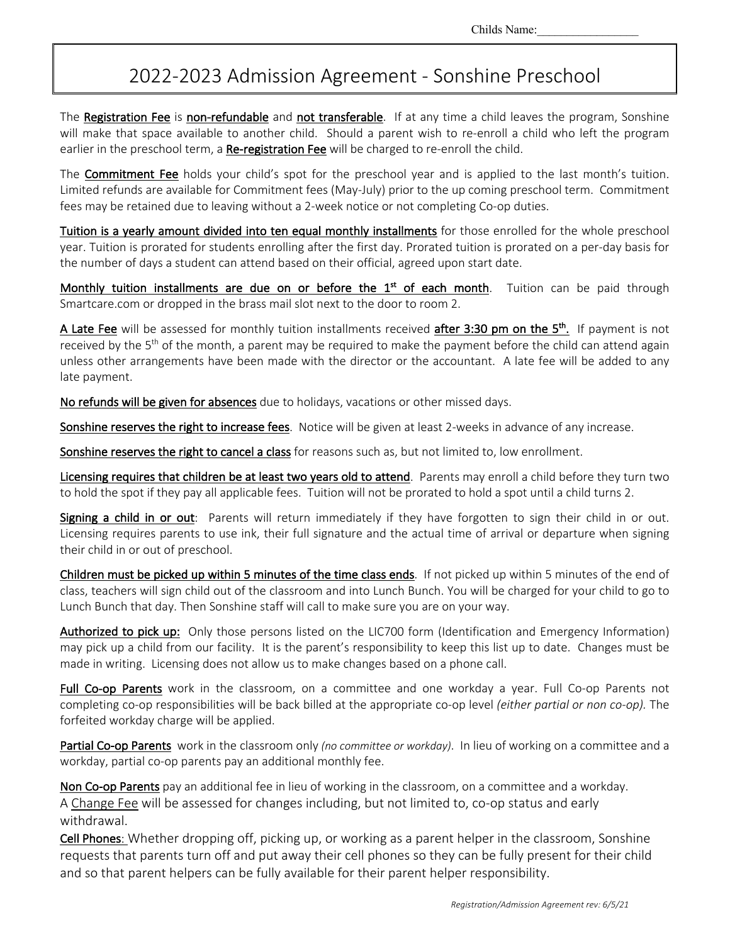## 2022-2023 Admission Agreement - Sonshine Preschool

The Registration Fee is non-refundable and not transferable. If at any time a child leaves the program, Sonshine will make that space available to another child. Should a parent wish to re-enroll a child who left the program earlier in the preschool term, a Re-registration Fee will be charged to re-enroll the child.

The **Commitment Fee** holds your child's spot for the preschool year and is applied to the last month's tuition. Limited refunds are available for Commitment fees (May-July) prior to the up coming preschool term. Commitment fees may be retained due to leaving without a 2-week notice or not completing Co-op duties.

Tuition is a yearly amount divided into ten equal monthly installments for those enrolled for the whole preschool year. Tuition is prorated for students enrolling after the first day. Prorated tuition is prorated on a per-day basis for the number of days a student can attend based on their official, agreed upon start date.

Monthly tuition installments are due on or before the 1<sup>st</sup> of each month. Tuition can be paid through Smartcare.com or dropped in the brass mail slot next to the door to room 2.

A Late Fee will be assessed for monthly tuition installments received after 3:30 pm on the 5<sup>th</sup>. If payment is not received by the 5<sup>th</sup> of the month, a parent may be required to make the payment before the child can attend again unless other arrangements have been made with the director or the accountant. A late fee will be added to any late payment.

No refunds will be given for absences due to holidays, vacations or other missed days.

Sonshine reserves the right to increase fees. Notice will be given at least 2-weeks in advance of any increase.

Sonshine reserves the right to cancel a class for reasons such as, but not limited to, low enrollment.

Licensing requires that children be at least two years old to attend. Parents may enroll a child before they turn two to hold the spot if they pay all applicable fees. Tuition will not be prorated to hold a spot until a child turns 2.

Signing a child in or out: Parents will return immediately if they have forgotten to sign their child in or out. Licensing requires parents to use ink, their full signature and the actual time of arrival or departure when signing their child in or out of preschool.

Children must be picked up within 5 minutes of the time class ends. If not picked up within 5 minutes of the end of class, teachers will sign child out of the classroom and into Lunch Bunch. You will be charged for your child to go to Lunch Bunch that day. Then Sonshine staff will call to make sure you are on your way.

Authorized to pick up: Only those persons listed on the LIC700 form (Identification and Emergency Information) may pick up a child from our facility. It is the parent's responsibility to keep this list up to date. Changes must be made in writing. Licensing does not allow us to make changes based on a phone call.

Full Co-op Parents work in the classroom, on a committee and one workday a year. Full Co-op Parents not completing co-op responsibilities will be back billed at the appropriate co-op level *(either partial or non co-op).* The forfeited workday charge will be applied.

Partial Co-op Parents work in the classroom only *(no committee or workday)*. In lieu of working on a committee and a workday, partial co-op parents pay an additional monthly fee.

Non Co-op Parents pay an additional fee in lieu of working in the classroom, on a committee and a workday. A Change Fee will be assessed for changes including, but not limited to, co-op status and early withdrawal.

Cell Phones: Whether dropping off, picking up, or working as a parent helper in the classroom, Sonshine requests that parents turn off and put away their cell phones so they can be fully present for their child and so that parent helpers can be fully available for their parent helper responsibility.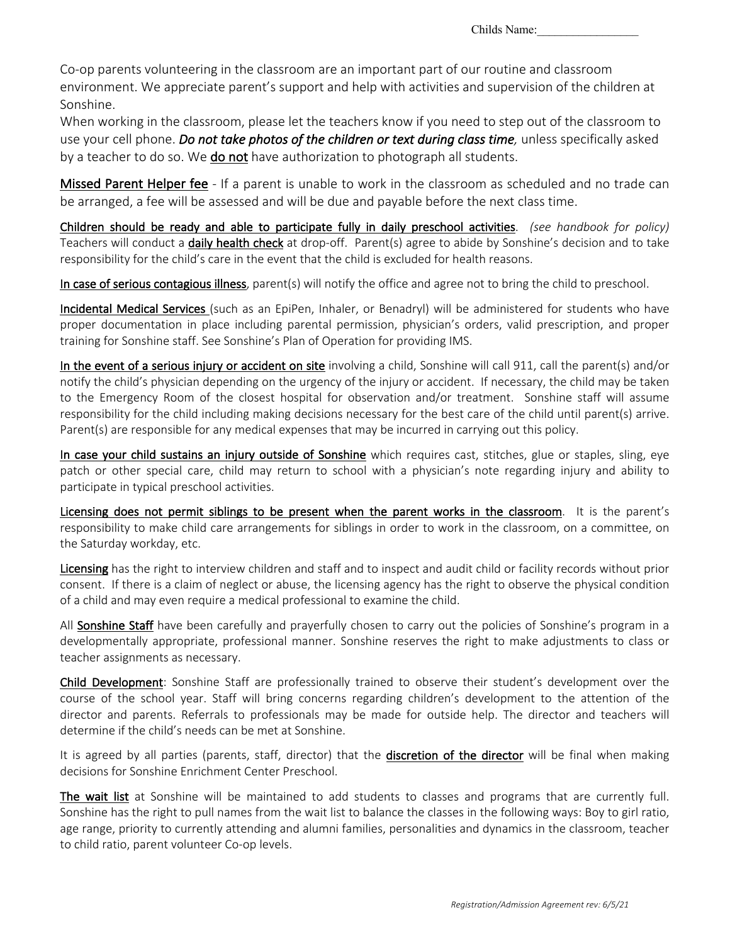Co-op parents volunteering in the classroom are an important part of our routine and classroom environment. We appreciate parent's support and help with activities and supervision of the children at Sonshine.

When working in the classroom, please let the teachers know if you need to step out of the classroom to use your cell phone. *Do not take photos of the children or text during class time,* unless specifically asked by a teacher to do so. We do not have authorization to photograph all students.

Missed Parent Helper fee - If a parent is unable to work in the classroom as scheduled and no trade can be arranged, a fee will be assessed and will be due and payable before the next class time.

Children should be ready and able to participate fully in daily preschool activities. *(see handbook for policy)* Teachers will conduct a daily health check at drop-off. Parent(s) agree to abide by Sonshine's decision and to take responsibility for the child's care in the event that the child is excluded for health reasons.

In case of serious contagious illness, parent(s) will notify the office and agree not to bring the child to preschool.

Incidental Medical Services (such as an EpiPen, Inhaler, or Benadryl) will be administered for students who have proper documentation in place including parental permission, physician's orders, valid prescription, and proper training for Sonshine staff. See Sonshine's Plan of Operation for providing IMS.

In the event of a serious injury or accident on site involving a child, Sonshine will call 911, call the parent(s) and/or notify the child's physician depending on the urgency of the injury or accident. If necessary, the child may be taken to the Emergency Room of the closest hospital for observation and/or treatment. Sonshine staff will assume responsibility for the child including making decisions necessary for the best care of the child until parent(s) arrive. Parent(s) are responsible for any medical expenses that may be incurred in carrying out this policy.

In case your child sustains an injury outside of Sonshine which requires cast, stitches, glue or staples, sling, eye patch or other special care, child may return to school with a physician's note regarding injury and ability to participate in typical preschool activities.

Licensing does not permit siblings to be present when the parent works in the classroom. It is the parent's responsibility to make child care arrangements for siblings in order to work in the classroom, on a committee, on the Saturday workday, etc.

Licensing has the right to interview children and staff and to inspect and audit child or facility records without prior consent. If there is a claim of neglect or abuse, the licensing agency has the right to observe the physical condition of a child and may even require a medical professional to examine the child.

All Sonshine Staff have been carefully and prayerfully chosen to carry out the policies of Sonshine's program in a developmentally appropriate, professional manner. Sonshine reserves the right to make adjustments to class or teacher assignments as necessary.

Child Development: Sonshine Staff are professionally trained to observe their student's development over the course of the school year. Staff will bring concerns regarding children's development to the attention of the director and parents. Referrals to professionals may be made for outside help. The director and teachers will determine if the child's needs can be met at Sonshine.

It is agreed by all parties (parents, staff, director) that the discretion of the director will be final when making decisions for Sonshine Enrichment Center Preschool.

The wait list at Sonshine will be maintained to add students to classes and programs that are currently full. Sonshine has the right to pull names from the wait list to balance the classes in the following ways: Boy to girl ratio, age range, priority to currently attending and alumni families, personalities and dynamics in the classroom, teacher to child ratio, parent volunteer Co-op levels.